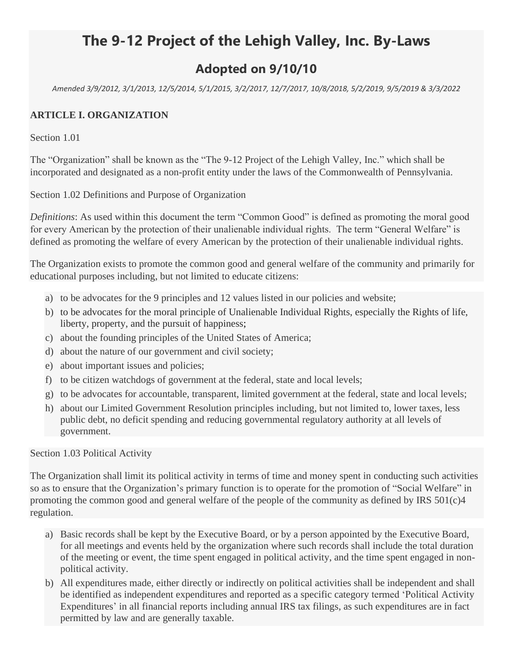# **The 9-12 Project of the Lehigh Valley, Inc. By-Laws**

## **Adopted on 9/10/10**

*Amended 3/9/2012, 3/1/2013, 12/5/2014, 5/1/2015, 3/2/2017, 12/7/2017, 10/8/2018, 5/2/2019, 9/5/2019 & 3/3/2022*

#### **ARTICLE I. ORGANIZATION**

Section 1.01

The "Organization" shall be known as the "The 9-12 Project of the Lehigh Valley, Inc." which shall be incorporated and designated as a non-profit entity under the laws of the Commonwealth of Pennsylvania.

Section 1.02 Definitions and Purpose of Organization

*Definitions*: As used within this document the term "Common Good" is defined as promoting the moral good for every American by the protection of their unalienable individual rights. The term "General Welfare" is defined as promoting the welfare of every American by the protection of their unalienable individual rights.

The Organization exists to promote the common good and general welfare of the community and primarily for educational purposes including, but not limited to educate citizens:

- a) to be advocates for the 9 principles and 12 values listed in our policies and website;
- b) to be advocates for the moral principle of Unalienable Individual Rights, especially the Rights of life, liberty, property, and the pursuit of happiness;
- c) about the founding principles of the United States of America;
- d) about the nature of our government and civil society;
- e) about important issues and policies;
- f) to be citizen watchdogs of government at the federal, state and local levels;
- g) to be advocates for accountable, transparent, limited government at the federal, state and local levels;
- h) about our Limited Government Resolution principles including, but not limited to, lower taxes, less public debt, no deficit spending and reducing governmental regulatory authority at all levels of government.

Section 1.03 Political Activity

The Organization shall limit its political activity in terms of time and money spent in conducting such activities so as to ensure that the Organization's primary function is to operate for the promotion of "Social Welfare" in promoting the common good and general welfare of the people of the community as defined by IRS  $501(c)4$ regulation.

- a) Basic records shall be kept by the Executive Board, or by a person appointed by the Executive Board, for all meetings and events held by the organization where such records shall include the total duration of the meeting or event, the time spent engaged in political activity, and the time spent engaged in nonpolitical activity.
- b) All expenditures made, either directly or indirectly on political activities shall be independent and shall be identified as independent expenditures and reported as a specific category termed 'Political Activity Expenditures' in all financial reports including annual IRS tax filings, as such expenditures are in fact permitted by law and are generally taxable.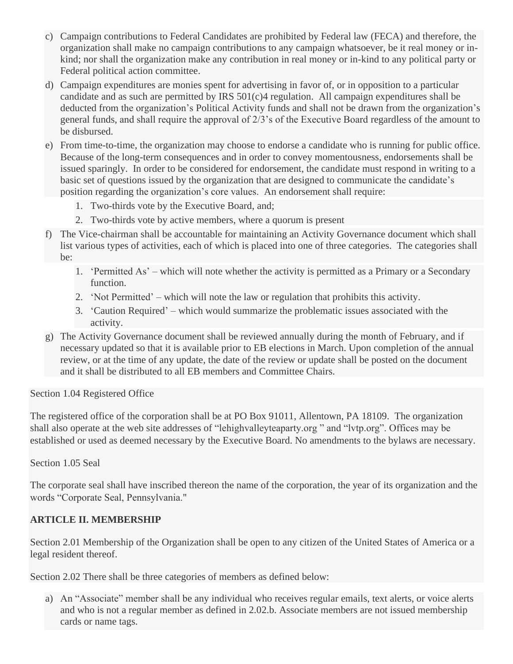- c) Campaign contributions to Federal Candidates are prohibited by Federal law (FECA) and therefore, the organization shall make no campaign contributions to any campaign whatsoever, be it real money or inkind; nor shall the organization make any contribution in real money or in-kind to any political party or Federal political action committee.
- d) Campaign expenditures are monies spent for advertising in favor of, or in opposition to a particular candidate and as such are permitted by IRS 501(c)4 regulation. All campaign expenditures shall be deducted from the organization's Political Activity funds and shall not be drawn from the organization's general funds, and shall require the approval of 2/3's of the Executive Board regardless of the amount to be disbursed.
- e) From time-to-time, the organization may choose to endorse a candidate who is running for public office. Because of the long-term consequences and in order to convey momentousness, endorsements shall be issued sparingly. In order to be considered for endorsement, the candidate must respond in writing to a basic set of questions issued by the organization that are designed to communicate the candidate's position regarding the organization's core values. An endorsement shall require:
	- 1. Two-thirds vote by the Executive Board, and;
	- 2. Two-thirds vote by active members, where a quorum is present
- f) The Vice-chairman shall be accountable for maintaining an Activity Governance document which shall list various types of activities, each of which is placed into one of three categories. The categories shall be:
	- 1. 'Permitted As' which will note whether the activity is permitted as a Primary or a Secondary function.
	- 2. 'Not Permitted' which will note the law or regulation that prohibits this activity.
	- 3. 'Caution Required' which would summarize the problematic issues associated with the activity.
- g) The Activity Governance document shall be reviewed annually during the month of February, and if necessary updated so that it is available prior to EB elections in March. Upon completion of the annual review, or at the time of any update, the date of the review or update shall be posted on the document and it shall be distributed to all EB members and Committee Chairs.

Section 1.04 Registered Office

The registered office of the corporation shall be at PO Box 91011, Allentown, PA 18109. The organization shall also operate at the web site addresses of "lehighvalleyteaparty.org " and "lvtp.org". Offices may be established or used as deemed necessary by the Executive Board. No amendments to the bylaws are necessary.

Section 1.05 Seal

The corporate seal shall have inscribed thereon the name of the corporation, the year of its organization and the words "Corporate Seal, Pennsylvania."

#### **ARTICLE II. MEMBERSHIP**

Section 2.01 Membership of the Organization shall be open to any citizen of the United States of America or a legal resident thereof.

Section 2.02 There shall be three categories of members as defined below:

a) An "Associate" member shall be any individual who receives regular emails, text alerts, or voice alerts and who is not a regular member as defined in 2.02.b. Associate members are not issued membership cards or name tags.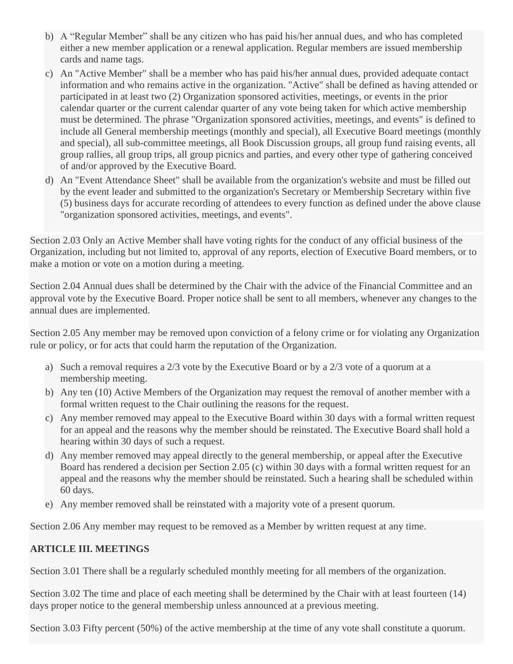- b) A "Regular Member" shall be any citizen who has paid his/her annual dues, and who has completed either a new member application or a renewal application. Regular members are issued membership cards and name tags.
- c) An "Active Member" shall be a member who has paid his/her annual dues, provided adequate contact information and who remains active in the organization. "Active" shall be defined as having attended or participated in at least two (2) Organization sponsored activities, meetings, or events in the prior calendar quarter or the current calendar quarter of any vote being taken for which active membership must be determined. The phrase "Organization sponsored activities, meetings, and events" is defined to include all General membership meetings (monthly and special), all Executive Board meetings (monthly and special), all sub-committee meetings, all Book Discussion groups, all group fund raising events, all group rallies, all group trips, all group picnics and parties, and every other type of gathering conceived of and/or approved by the Executive Board.
- d) An "Event Attendance Sheet" shall be available from the organization's website and must be filled out by the event leader and submitted to the organization's Secretary or Membership Secretary within five (5) business days for accurate recording of attendees to every function as defined under the above clause "organization sponsored activities, meetings, and events".

Section 2.03 Only an Active Member shall have voting rights for the conduct of any official business of the Organization, including but not limited to, approval of any reports, election of Executive Board members, or to make a motion or vote on a motion during a meeting.

Section 2.04 Annual dues shall be determined by the Chair with the advice of the Financial Committee and an approval vote by the Executive Board. Proper notice shall be sent to all members, whenever any changes to the annual dues are implemented.

Section 2.05 Any member may be removed upon conviction of a felony crime or for violating any Organization rule or policy, or for acts that could harm the reputation of the Organization.

- a) Such a removal requires a 2/3 vote by the Executive Board or by a 2/3 vote of a quorum at a membership meeting.
- b) Any ten (10) Active Members of the Organization may request the removal of another member with a formal written request to the Chair outlining the reasons for the request.
- c) Any member removed may appeal to the Executive Board within 30 days with a formal written request for an appeal and the reasons why the member should be reinstated. The Executive Board shall hold a hearing within 30 days of such a request.
- d) Any member removed may appeal directly to the general membership, or appeal after the Executive Board has rendered a decision per Section 2.05 (c) within 30 days with a formal written request for an appeal and the reasons why the member should be reinstated. Such a hearing shall be scheduled within 60 days.
- e) Any member removed shall be reinstated with a majority vote of a present quorum.

Section 2.06 Any member may request to be removed as a Member by written request at any time.

## **ARTICLE III. MEETINGS**

Section 3.01 There shall be a regularly scheduled monthly meeting for all members of the organization.

Section 3.02 The time and place of each meeting shall be determined by the Chair with at least fourteen (14) days proper notice to the general membership unless announced at a previous meeting.

Section 3.03 Fifty percent (50%) of the active membership at the time of any vote shall constitute a quorum.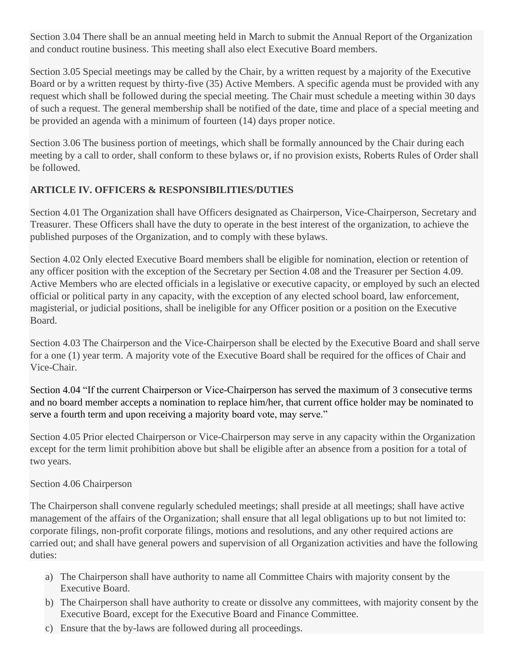Section 3.04 There shall be an annual meeting held in March to submit the Annual Report of the Organization and conduct routine business. This meeting shall also elect Executive Board members.

Section 3.05 Special meetings may be called by the Chair, by a written request by a majority of the Executive Board or by a written request by thirty-five (35) Active Members. A specific agenda must be provided with any request which shall be followed during the special meeting. The Chair must schedule a meeting within 30 days of such a request. The general membership shall be notified of the date, time and place of a special meeting and be provided an agenda with a minimum of fourteen (14) days proper notice.

Section 3.06 The business portion of meetings, which shall be formally announced by the Chair during each meeting by a call to order, shall conform to these bylaws or, if no provision exists, Roberts Rules of Order shall be followed.

#### **ARTICLE IV. OFFICERS & RESPONSIBILITIES/DUTIES**

Section 4.01 The Organization shall have Officers designated as Chairperson, Vice-Chairperson, Secretary and Treasurer. These Officers shall have the duty to operate in the best interest of the organization, to achieve the published purposes of the Organization, and to comply with these bylaws.

Section 4.02 Only elected Executive Board members shall be eligible for nomination, election or retention of any officer position with the exception of the Secretary per Section 4.08 and the Treasurer per Section 4.09. Active Members who are elected officials in a legislative or executive capacity, or employed by such an elected official or political party in any capacity, with the exception of any elected school board, law enforcement, magisterial, or judicial positions, shall be ineligible for any Officer position or a position on the Executive Board.

Section 4.03 The Chairperson and the Vice-Chairperson shall be elected by the Executive Board and shall serve for a one (1) year term. A majority vote of the Executive Board shall be required for the offices of Chair and Vice-Chair.

Section 4.04 "If the current Chairperson or Vice-Chairperson has served the maximum of 3 consecutive terms and no board member accepts a nomination to replace him/her, that current office holder may be nominated to serve a fourth term and upon receiving a majority board vote, may serve."

Section 4.05 Prior elected Chairperson or Vice-Chairperson may serve in any capacity within the Organization except for the term limit prohibition above but shall be eligible after an absence from a position for a total of two years.

#### Section 4.06 Chairperson

The Chairperson shall convene regularly scheduled meetings; shall preside at all meetings; shall have active management of the affairs of the Organization; shall ensure that all legal obligations up to but not limited to: corporate filings, non-profit corporate filings, motions and resolutions, and any other required actions are carried out; and shall have general powers and supervision of all Organization activities and have the following duties:

- a) The Chairperson shall have authority to name all Committee Chairs with majority consent by the Executive Board.
- b) The Chairperson shall have authority to create or dissolve any committees, with majority consent by the Executive Board, except for the Executive Board and Finance Committee.
- c) Ensure that the by-laws are followed during all proceedings.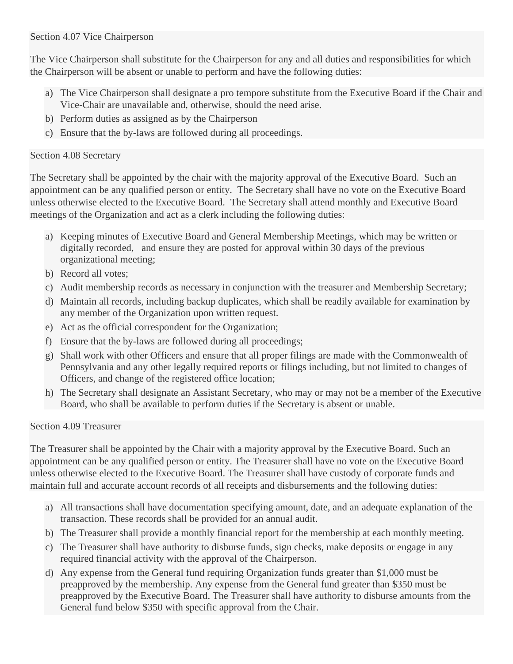#### Section 4.07 Vice Chairperson

The Vice Chairperson shall substitute for the Chairperson for any and all duties and responsibilities for which the Chairperson will be absent or unable to perform and have the following duties:

- a) The Vice Chairperson shall designate a pro tempore substitute from the Executive Board if the Chair and Vice-Chair are unavailable and, otherwise, should the need arise.
- b) Perform duties as assigned as by the Chairperson
- c) Ensure that the by-laws are followed during all proceedings.

#### Section 4.08 Secretary

The Secretary shall be appointed by the chair with the majority approval of the Executive Board. Such an appointment can be any qualified person or entity. The Secretary shall have no vote on the Executive Board unless otherwise elected to the Executive Board. The Secretary shall attend monthly and Executive Board meetings of the Organization and act as a clerk including the following duties:

- a) Keeping minutes of Executive Board and General Membership Meetings, which may be written or digitally recorded, and ensure they are posted for approval within 30 days of the previous organizational meeting;
- b) Record all votes;
- c) Audit membership records as necessary in conjunction with the treasurer and Membership Secretary;
- d) Maintain all records, including backup duplicates, which shall be readily available for examination by any member of the Organization upon written request.
- e) Act as the official correspondent for the Organization;
- f) Ensure that the by-laws are followed during all proceedings;
- g) Shall work with other Officers and ensure that all proper filings are made with the Commonwealth of Pennsylvania and any other legally required reports or filings including, but not limited to changes of Officers, and change of the registered office location;
- h) The Secretary shall designate an Assistant Secretary, who may or may not be a member of the Executive Board, who shall be available to perform duties if the Secretary is absent or unable.

#### Section 4.09 Treasurer

The Treasurer shall be appointed by the Chair with a majority approval by the Executive Board. Such an appointment can be any qualified person or entity. The Treasurer shall have no vote on the Executive Board unless otherwise elected to the Executive Board. The Treasurer shall have custody of corporate funds and maintain full and accurate account records of all receipts and disbursements and the following duties:

- a) All transactions shall have documentation specifying amount, date, and an adequate explanation of the transaction. These records shall be provided for an annual audit.
- b) The Treasurer shall provide a monthly financial report for the membership at each monthly meeting.
- c) The Treasurer shall have authority to disburse funds, sign checks, make deposits or engage in any required financial activity with the approval of the Chairperson.
- d) Any expense from the General fund requiring Organization funds greater than \$1,000 must be preapproved by the membership. Any expense from the General fund greater than \$350 must be preapproved by the Executive Board. The Treasurer shall have authority to disburse amounts from the General fund below \$350 with specific approval from the Chair.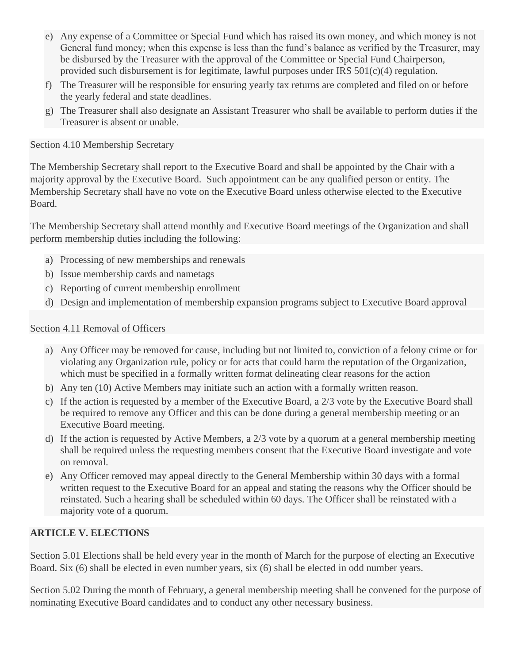- e) Any expense of a Committee or Special Fund which has raised its own money, and which money is not General fund money; when this expense is less than the fund's balance as verified by the Treasurer, may be disbursed by the Treasurer with the approval of the Committee or Special Fund Chairperson, provided such disbursement is for legitimate, lawful purposes under IRS 501(c)(4) regulation.
- f) The Treasurer will be responsible for ensuring yearly tax returns are completed and filed on or before the yearly federal and state deadlines.
- g) The Treasurer shall also designate an Assistant Treasurer who shall be available to perform duties if the Treasurer is absent or unable.

Section 4.10 Membership Secretary

The Membership Secretary shall report to the Executive Board and shall be appointed by the Chair with a majority approval by the Executive Board. Such appointment can be any qualified person or entity. The Membership Secretary shall have no vote on the Executive Board unless otherwise elected to the Executive Board.

The Membership Secretary shall attend monthly and Executive Board meetings of the Organization and shall perform membership duties including the following:

- a) Processing of new memberships and renewals
- b) Issue membership cards and nametags
- c) Reporting of current membership enrollment
- d) Design and implementation of membership expansion programs subject to Executive Board approval

#### Section 4.11 Removal of Officers

- a) Any Officer may be removed for cause, including but not limited to, conviction of a felony crime or for violating any Organization rule, policy or for acts that could harm the reputation of the Organization, which must be specified in a formally written format delineating clear reasons for the action
- b) Any ten (10) Active Members may initiate such an action with a formally written reason.
- c) If the action is requested by a member of the Executive Board, a 2/3 vote by the Executive Board shall be required to remove any Officer and this can be done during a general membership meeting or an Executive Board meeting.
- d) If the action is requested by Active Members, a 2/3 vote by a quorum at a general membership meeting shall be required unless the requesting members consent that the Executive Board investigate and vote on removal.
- e) Any Officer removed may appeal directly to the General Membership within 30 days with a formal written request to the Executive Board for an appeal and stating the reasons why the Officer should be reinstated. Such a hearing shall be scheduled within 60 days. The Officer shall be reinstated with a majority vote of a quorum.

#### **ARTICLE V. ELECTIONS**

Section 5.01 Elections shall be held every year in the month of March for the purpose of electing an Executive Board. Six (6) shall be elected in even number years, six (6) shall be elected in odd number years.

Section 5.02 During the month of February, a general membership meeting shall be convened for the purpose of nominating Executive Board candidates and to conduct any other necessary business.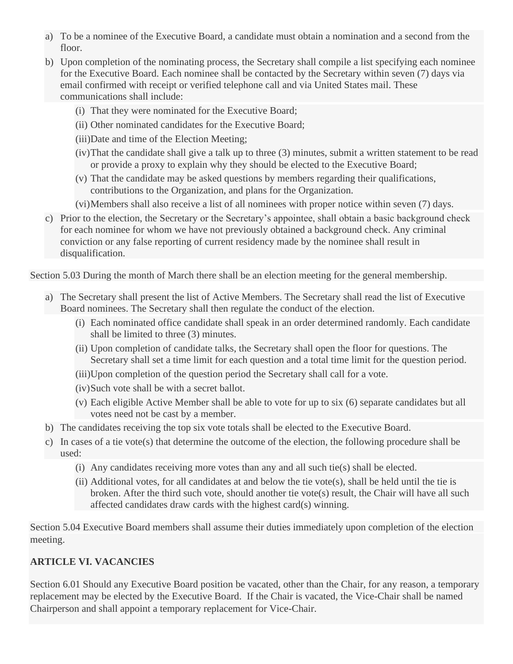- a) To be a nominee of the Executive Board, a candidate must obtain a nomination and a second from the floor.
- b) Upon completion of the nominating process, the Secretary shall compile a list specifying each nominee for the Executive Board. Each nominee shall be contacted by the Secretary within seven (7) days via email confirmed with receipt or verified telephone call and via United States mail. These communications shall include:
	- (i) That they were nominated for the Executive Board;
	- (ii) Other nominated candidates for the Executive Board;
	- (iii)Date and time of the Election Meeting;
	- (iv)That the candidate shall give a talk up to three (3) minutes, submit a written statement to be read or provide a proxy to explain why they should be elected to the Executive Board;
	- (v) That the candidate may be asked questions by members regarding their qualifications, contributions to the Organization, and plans for the Organization.
	- (vi)Members shall also receive a list of all nominees with proper notice within seven (7) days.
- c) Prior to the election, the Secretary or the Secretary's appointee, shall obtain a basic background check for each nominee for whom we have not previously obtained a background check. Any criminal conviction or any false reporting of current residency made by the nominee shall result in disqualification.

Section 5.03 During the month of March there shall be an election meeting for the general membership.

- a) The Secretary shall present the list of Active Members. The Secretary shall read the list of Executive Board nominees. The Secretary shall then regulate the conduct of the election.
	- (i) Each nominated office candidate shall speak in an order determined randomly. Each candidate shall be limited to three (3) minutes.
	- (ii) Upon completion of candidate talks, the Secretary shall open the floor for questions. The Secretary shall set a time limit for each question and a total time limit for the question period.
	- (iii)Upon completion of the question period the Secretary shall call for a vote.
	- (iv)Such vote shall be with a secret ballot.
	- (v) Each eligible Active Member shall be able to vote for up to six (6) separate candidates but all votes need not be cast by a member.
- b) The candidates receiving the top six vote totals shall be elected to the Executive Board.
- c) In cases of a tie vote(s) that determine the outcome of the election, the following procedure shall be used:
	- (i) Any candidates receiving more votes than any and all such tie(s) shall be elected.
	- (ii) Additional votes, for all candidates at and below the tie vote(s), shall be held until the tie is broken. After the third such vote, should another tie vote(s) result, the Chair will have all such affected candidates draw cards with the highest card(s) winning.

Section 5.04 Executive Board members shall assume their duties immediately upon completion of the election meeting.

## **ARTICLE VI. VACANCIES**

Section 6.01 Should any Executive Board position be vacated, other than the Chair, for any reason, a temporary replacement may be elected by the Executive Board. If the Chair is vacated, the Vice-Chair shall be named Chairperson and shall appoint a temporary replacement for Vice-Chair.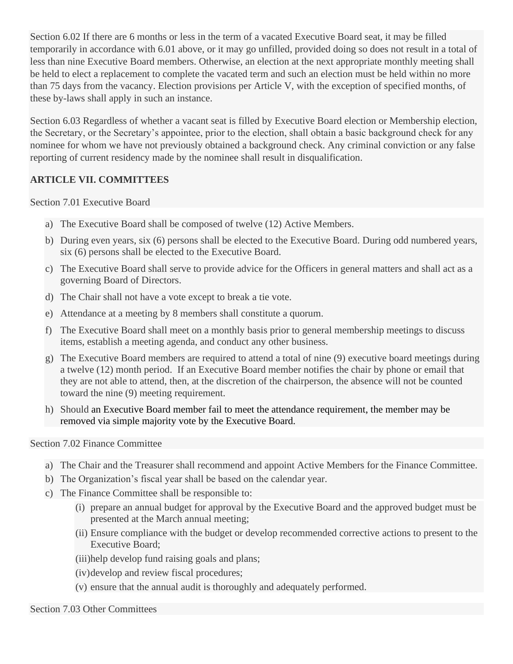Section 6.02 If there are 6 months or less in the term of a vacated Executive Board seat, it may be filled temporarily in accordance with 6.01 above, or it may go unfilled, provided doing so does not result in a total of less than nine Executive Board members. Otherwise, an election at the next appropriate monthly meeting shall be held to elect a replacement to complete the vacated term and such an election must be held within no more than 75 days from the vacancy. Election provisions per Article V, with the exception of specified months, of these by-laws shall apply in such an instance.

Section 6.03 Regardless of whether a vacant seat is filled by Executive Board election or Membership election, the Secretary, or the Secretary's appointee, prior to the election, shall obtain a basic background check for any nominee for whom we have not previously obtained a background check. Any criminal conviction or any false reporting of current residency made by the nominee shall result in disqualification.

#### **ARTICLE VII. COMMITTEES**

Section 7.01 Executive Board

- a) The Executive Board shall be composed of twelve (12) Active Members.
- b) During even years, six (6) persons shall be elected to the Executive Board. During odd numbered years, six (6) persons shall be elected to the Executive Board.
- c) The Executive Board shall serve to provide advice for the Officers in general matters and shall act as a governing Board of Directors.
- d) The Chair shall not have a vote except to break a tie vote.
- e) Attendance at a meeting by 8 members shall constitute a quorum.
- f) The Executive Board shall meet on a monthly basis prior to general membership meetings to discuss items, establish a meeting agenda, and conduct any other business.
- g) The Executive Board members are required to attend a total of nine (9) executive board meetings during a twelve (12) month period. If an Executive Board member notifies the chair by phone or email that they are not able to attend, then, at the discretion of the chairperson, the absence will not be counted toward the nine (9) meeting requirement.
- h) Should an Executive Board member fail to meet the attendance requirement, the member may be removed via simple majority vote by the Executive Board.

#### Section 7.02 Finance Committee

- a) The Chair and the Treasurer shall recommend and appoint Active Members for the Finance Committee.
- b) The Organization's fiscal year shall be based on the calendar year.
- c) The Finance Committee shall be responsible to:
	- (i) prepare an annual budget for approval by the Executive Board and the approved budget must be presented at the March annual meeting;
	- (ii) Ensure compliance with the budget or develop recommended corrective actions to present to the Executive Board;
	- (iii)help develop fund raising goals and plans;
	- (iv)develop and review fiscal procedures;
	- (v) ensure that the annual audit is thoroughly and adequately performed.

#### Section 7.03 Other Committees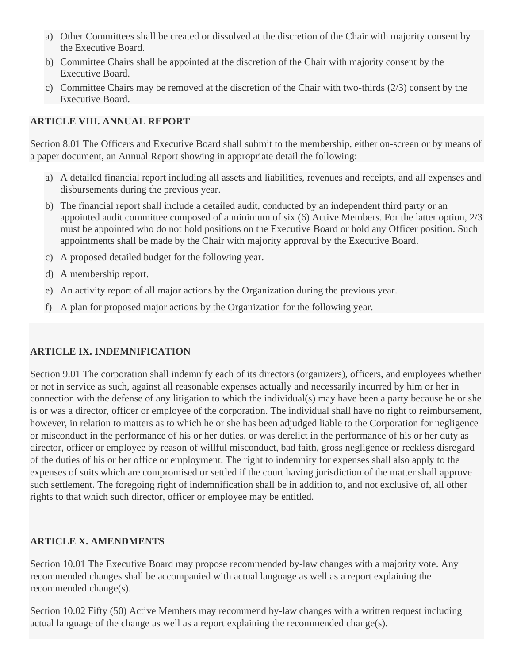- a) Other Committees shall be created or dissolved at the discretion of the Chair with majority consent by the Executive Board.
- b) Committee Chairs shall be appointed at the discretion of the Chair with majority consent by the Executive Board.
- c) Committee Chairs may be removed at the discretion of the Chair with two-thirds (2/3) consent by the Executive Board.

#### **ARTICLE VIII. ANNUAL REPORT**

Section 8.01 The Officers and Executive Board shall submit to the membership, either on-screen or by means of a paper document, an Annual Report showing in appropriate detail the following:

- a) A detailed financial report including all assets and liabilities, revenues and receipts, and all expenses and disbursements during the previous year.
- b) The financial report shall include a detailed audit, conducted by an independent third party or an appointed audit committee composed of a minimum of six (6) Active Members. For the latter option, 2/3 must be appointed who do not hold positions on the Executive Board or hold any Officer position. Such appointments shall be made by the Chair with majority approval by the Executive Board.
- c) A proposed detailed budget for the following year.
- d) A membership report.
- e) An activity report of all major actions by the Organization during the previous year.
- f) A plan for proposed major actions by the Organization for the following year.

#### **ARTICLE IX. INDEMNIFICATION**

Section 9.01 The corporation shall indemnify each of its directors (organizers), officers, and employees whether or not in service as such, against all reasonable expenses actually and necessarily incurred by him or her in connection with the defense of any litigation to which the individual(s) may have been a party because he or she is or was a director, officer or employee of the corporation. The individual shall have no right to reimbursement, however, in relation to matters as to which he or she has been adjudged liable to the Corporation for negligence or misconduct in the performance of his or her duties, or was derelict in the performance of his or her duty as director, officer or employee by reason of willful misconduct, bad faith, gross negligence or reckless disregard of the duties of his or her office or employment. The right to indemnity for expenses shall also apply to the expenses of suits which are compromised or settled if the court having jurisdiction of the matter shall approve such settlement. The foregoing right of indemnification shall be in addition to, and not exclusive of, all other rights to that which such director, officer or employee may be entitled.

#### **ARTICLE X. AMENDMENTS**

Section 10.01 The Executive Board may propose recommended by-law changes with a majority vote. Any recommended changes shall be accompanied with actual language as well as a report explaining the recommended change(s).

Section 10.02 Fifty (50) Active Members may recommend by-law changes with a written request including actual language of the change as well as a report explaining the recommended change(s).